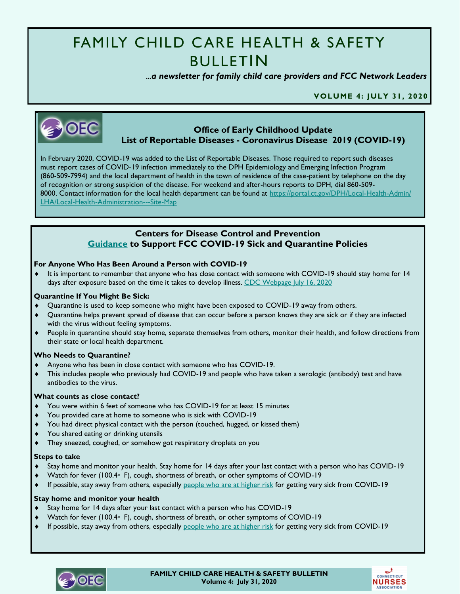# FAMILY CHILD CARE HEALTH & SAFETY BULLETIN

 *...a newsletter for family child care providers and FCC Network Leaders* 

**VOLUME 4: JULY 31, 2020**



## **Office of Early Childhood Update List of Reportable Diseases - Coronavirus Disease 2019 (COVID-19)**

In February 2020, COVID-19 was added to the List of Reportable Diseases. Those required to report such diseases must report cases of COVID-19 infection immediately to the DPH Epidemiology and Emerging Infection Program (860-509-7994) and the local department of health in the town of residence of the case-patient by telephone on the day of recognition or strong suspicion of the disease. For weekend and after-hours reports to DPH, dial 860-509 8000. Contact information for the local health department can be found at [https://portal.ct.gov/DPH/Local-Health-Admin/](https://portal.ct.gov/DPH/Local-Health-Admin/LHA/Local-Health-Administration---Site-Map) [LHA/Local-Health-Administration---Site-Map](https://portal.ct.gov/DPH/Local-Health-Admin/LHA/Local-Health-Administration---Site-Map)

## **Centers for Disease Control and Prevention [Guidance](https://www.cdc.gov/coronavirus/2019-ncov/if-you-are-sick/quarantine.html?CDC_AA_refVal=https%3A%2F%2Fwww.cdc.gov%2Fcoronavirus%2F2019-ncov%2Fif-you-are-sick%2Fquarantine-isolation.html) to Support FCC COVID-19 Sick and Quarantine Policies**

## **For Anyone Who Has Been Around a Person with COVID-19**

 It is important to remember that anyone who has close contact with someone with COVID-19 should stay home for 14 days after exposure based on the time it takes to develop illness. CDC [Webpage](https://www.cdc.gov/coronavirus/2019-ncov/if-you-are-sick/end-home-isolation.html?CDC_AA_refVal=https%3A%2F%2Fwww.cdc.gov%2Fcoronavirus%2F2019-ncov%2Fprevent-getting-sick%2Fwhen-its-safe.html) July 16, 2020

## **Quarantine If You Might Be Sick:**

- Quarantine is used to keep someone who might have been exposed to COVID-19 away from others.
- Quarantine helps prevent spread of disease that can occur before a person knows they are sick or if they are infected with the virus without feeling symptoms.
- People in quarantine should stay home, separate themselves from others, monitor their health, and follow directions from their state or local health department.

## **Who Needs to Quarantine?**

- Anyone who has been in close contact with someone who has COVID-19.
- This includes people who previously had COVID-19 and people who have taken a serologic (antibody) test and have antibodies to the virus.

## **What counts as close contact?**

- You were within 6 feet of someone who has COVID-19 for at least 15 minutes
- You provided care at home to someone who is sick with COVID-19
- You had direct physical contact with the person (touched, hugged, or kissed them)
- You shared eating or drinking utensils
- They sneezed, coughed, or somehow got respiratory droplets on you

## **Steps to take**

- Stay home and monitor your health. Stay home for 14 days after your last contact with a person who has COVID-19
- Watch for fever (100.4◦ F), cough, shortness of breath, or other symptoms of COVID-19
- If possible, stay away from others, especially [people who are at higher risk](https://www.cdc.gov/coronavirus/2019-ncov/need-extra-precautions/people-at-increased-risk.html?CDC_AA_refVal=https%3A%2F%2Fwww.cdc.gov%2Fcoronavirus%2F2019-ncov%2Fneed-extra-precautions%2Fpeople-at-higher-risk.html) for getting very sick from COVID-19

## **Stay home and monitor your health**

- Stay home for 14 days after your last contact with a person who has COVID-19
- Watch for fever (100.4◦ F), cough, shortness of breath, or other symptoms of COVID-19
- If possible, stay away from others, especially [people who are at higher risk](https://www.cdc.gov/coronavirus/2019-ncov/need-extra-precautions/people-at-increased-risk.html?CDC_AA_refVal=https%3A%2F%2Fwww.cdc.gov%2Fcoronavirus%2F2019-ncov%2Fneed-extra-precautions%2Fpeople-at-higher-risk.html) for getting very sick from COVID-19